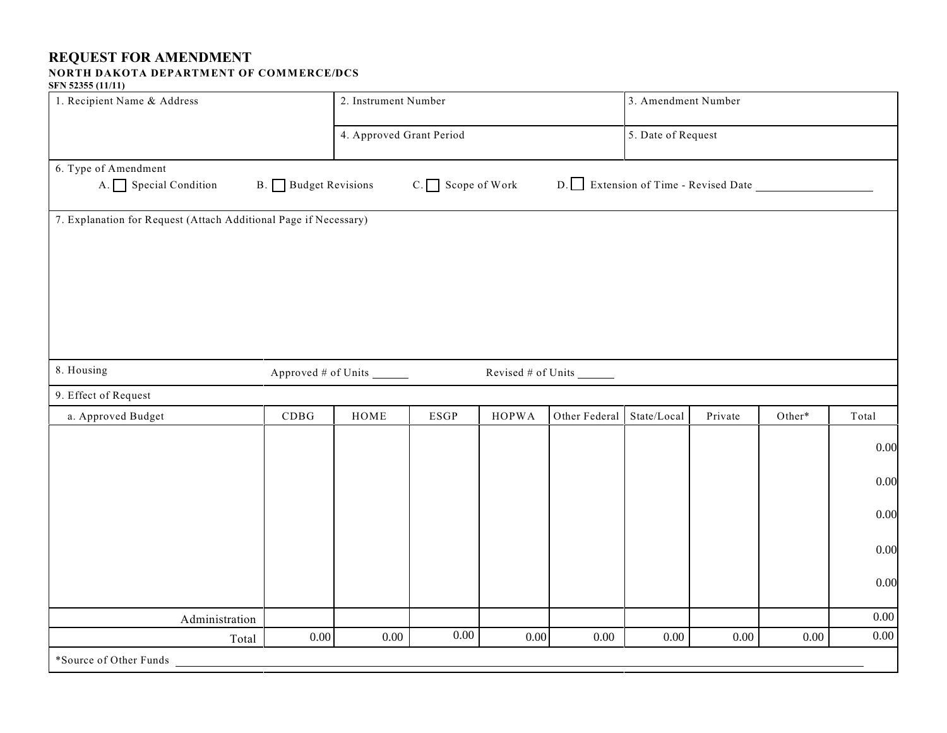## **REQUEST FOR AMENDMENT**

## **NORTH DAKOTA DEPARTMENT OF COMMERCE/DCS**

## **SFN 52355 (11/11)**

| 1. Recipient Name & Address                                      |                       | 2. Instrument Number     |                    |                           |               | 3. Amendment Number |         |        |          |  |
|------------------------------------------------------------------|-----------------------|--------------------------|--------------------|---------------------------|---------------|---------------------|---------|--------|----------|--|
|                                                                  |                       | 4. Approved Grant Period |                    |                           |               | 5. Date of Request  |         |        |          |  |
| 6. Type of Amendment<br>A. Special Condition                     | B. Budget Revisions   |                          | $C.$ Scope of Work |                           |               |                     |         |        |          |  |
| 7. Explanation for Request (Attach Additional Page if Necessary) |                       |                          |                    |                           |               |                     |         |        |          |  |
| 8. Housing                                                       | Approved # of Units _ |                          |                    | Revised $#$ of Units $\_$ |               |                     |         |        |          |  |
| 9. Effect of Request                                             |                       |                          |                    |                           |               |                     |         |        |          |  |
| a. Approved Budget                                               | CDBG                  | HOME                     | <b>ESGP</b>        | <b>HOPWA</b>              | Other Federal | State/Local         | Private | Other* | Total    |  |
|                                                                  |                       |                          |                    |                           |               |                     |         |        | 0.00     |  |
|                                                                  |                       |                          |                    |                           |               |                     |         |        | 0.00     |  |
|                                                                  |                       |                          |                    |                           |               |                     |         |        | 0.00     |  |
|                                                                  |                       |                          |                    |                           |               |                     |         |        | 0.00     |  |
|                                                                  |                       |                          |                    |                           |               |                     |         |        | 0.00     |  |
| Administration                                                   |                       |                          |                    |                           |               |                     |         |        | $0.00\,$ |  |
| Total                                                            | $0.00\,$              | 0.00                     | 0.00               | 0.00                      | 0.00          | 0.00                | 0.00    | 0.00   | $0.00\,$ |  |
| *Source of Other Funds                                           |                       |                          |                    |                           |               |                     |         |        |          |  |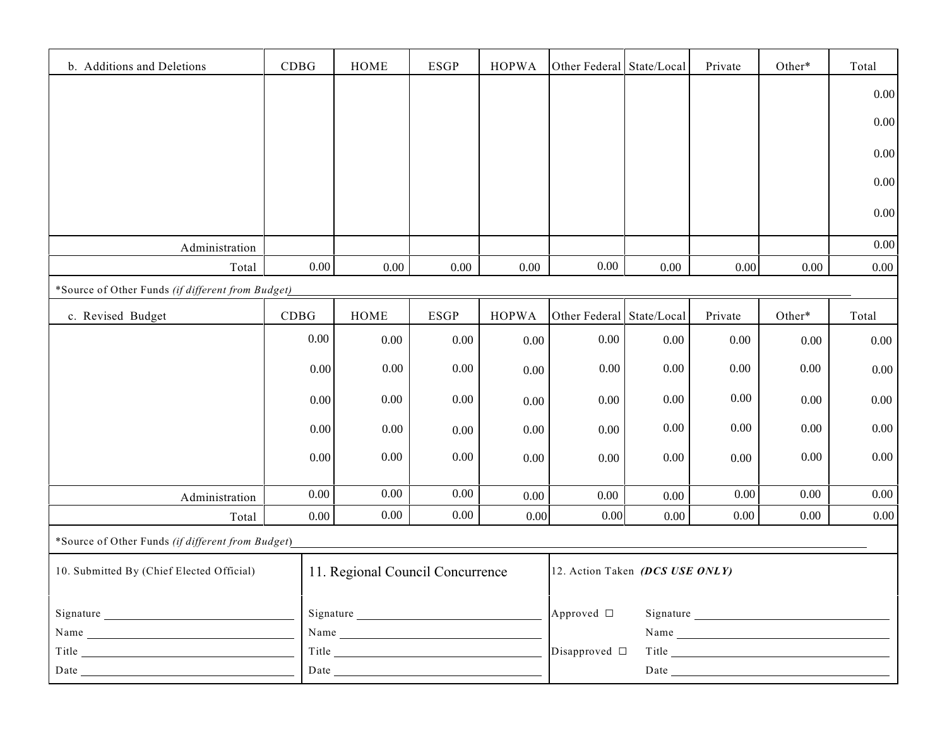| b. Additions and Deletions                        | CDBG     | <b>HOME</b>                      | <b>ESGP</b> | <b>HOPWA</b> | Other Federal                   | State/Local | Private  | Other*   | Total    |
|---------------------------------------------------|----------|----------------------------------|-------------|--------------|---------------------------------|-------------|----------|----------|----------|
|                                                   |          |                                  |             |              |                                 |             |          |          | 0.00     |
|                                                   |          |                                  |             |              |                                 |             |          |          | 0.00     |
|                                                   |          |                                  |             |              |                                 |             |          |          |          |
|                                                   |          |                                  |             |              |                                 |             |          |          | 0.00     |
|                                                   |          |                                  |             |              |                                 |             |          |          | 0.00     |
|                                                   |          |                                  |             |              |                                 |             |          |          | 0.00     |
| Administration                                    |          |                                  |             |              |                                 |             |          |          | 0.00     |
| Total                                             | $0.00\,$ | 0.00                             | 0.00        | $0.00\,$     | 0.00                            | 0.00        | 0.00     | 0.00     | $0.00\,$ |
| *Source of Other Funds (if different from Budget) |          |                                  |             |              |                                 |             |          |          |          |
| c. Revised Budget                                 | CDBG     | <b>HOME</b>                      | <b>ESGP</b> | <b>HOPWA</b> | Other Federal State/Local       |             | Private  | Other*   | Total    |
|                                                   | $0.00\,$ | 0.00                             | $0.00\,$    | 0.00         | $0.00\,$                        | 0.00        | $0.00\,$ | 0.00     | 0.00     |
|                                                   | 0.00     | $0.00\,$                         | 0.00        |              | 0.00                            | 0.00        | $0.00\,$ | 0.00     | 0.00     |
|                                                   |          |                                  |             | 0.00         |                                 |             |          |          |          |
|                                                   | 0.00     | 0.00                             | 0.00        | 0.00         | $0.00\,$                        | 0.00        | 0.00     | 0.00     | $0.00\,$ |
|                                                   | $0.00\,$ | $0.00\,$                         | $0.00\,$    | 0.00         | $0.00\,$                        | 0.00        | 0.00     | 0.00     | 0.00     |
|                                                   | 0.00     | 0.00                             | $0.00\,$    | 0.00         | $0.00\,$                        | 0.00        | 0.00     | 0.00     | 0.00     |
|                                                   |          |                                  |             |              |                                 |             |          |          |          |
| Administration                                    | $0.00\,$ | 0.00                             | 0.00        | 0.00         | $0.00\,$                        | $0.00\,$    | 0.00     | $0.00\,$ | 0.00     |
| Total                                             | 0.00     | 0.00                             | $0.00\,$    | 0.00         | 0.00                            | $0.00\,$    | $0.00\,$ | 0.00     | 0.00     |
| *Source of Other Funds (if different from Budget) |          |                                  |             |              |                                 |             |          |          |          |
| 10. Submitted By (Chief Elected Official)         |          | 11. Regional Council Concurrence |             |              | 12. Action Taken (DCS USE ONLY) |             |          |          |          |
|                                                   |          |                                  |             |              |                                 |             |          |          |          |
| Signature<br>Name                                 |          | Signature                        |             |              | Approved □                      |             | Name     |          |          |
|                                                   |          | Title                            |             |              | Disapproved $\square$           |             | Title    |          |          |
|                                                   |          |                                  |             |              |                                 |             |          |          |          |